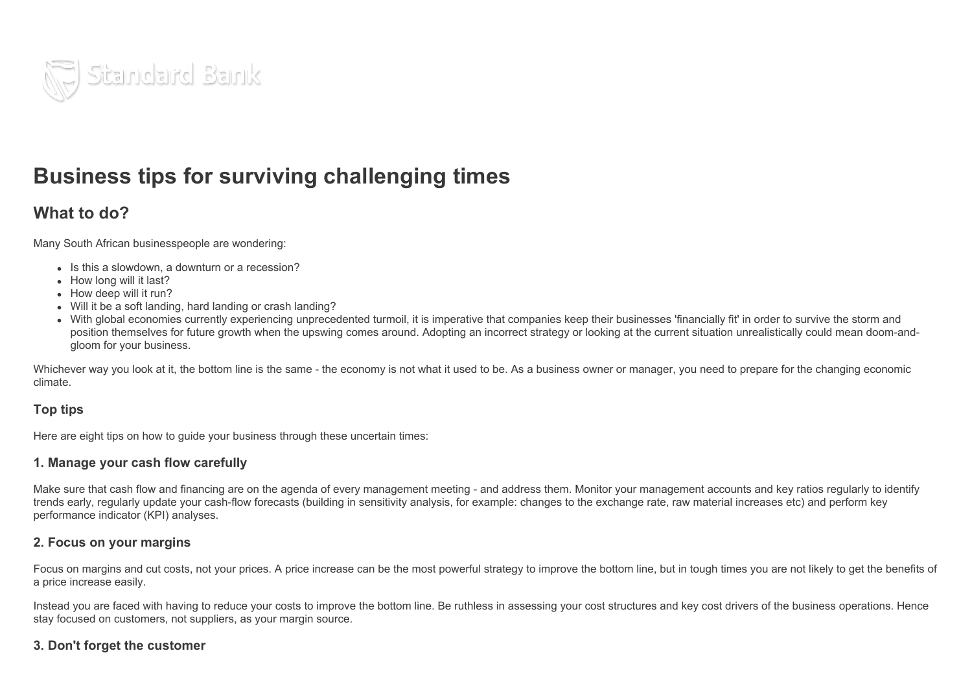

# Business tips for surviving challenging times

# What to do?

Many South African businesspeople are wondering:

- Is this a slowdown, a downturn or a recession?
- How long will it last?
- How deep will it run?
- Will it be a soft landing, hard landing or crash landing?
- With global economies currently experiencing unprecedented turmoil, it is imperative that companies keep their businesses 'financially fit' in order to survive the storm and position themselves for future growth when the upswing comes around. Adopting an incorrect strategy or looking at the current situation unrealistically could mean doom-andgloom for your business.

Whichever way you look at it, the bottom line is the same - the economy is not what it used to be. As a business owner or manager, you need to prepare for the changing economic climate.

#### Top tips

Here are eight tips on how to guide your business through these uncertain times:

#### 1. Manage your cash flow carefully

Make sure that cash flow and financing are on the agenda of every management meeting - and address them. Monitor your management accounts and key ratios regularly to identify trends early, regularly update your cash-flow forecasts (building in sensitivity analysis, for example: changes to the exchange rate, raw material increases etc) and perform key performance indicator (KPI) analyses.

#### 2. Focus on your margins

Focus on margins and cut costs, not your prices. A price increase can be the most powerful strategy to improve the bottom line, but in tough times you are not likely to get the benefits of a price increase easily.

Instead you are faced with having to reduce your costs to improve the bottom line. Be ruthless in assessing your cost structures and key cost drivers of the business operations. Hence stay focused on customers, not suppliers, as your margin source.

#### 3. Don't forget the customer